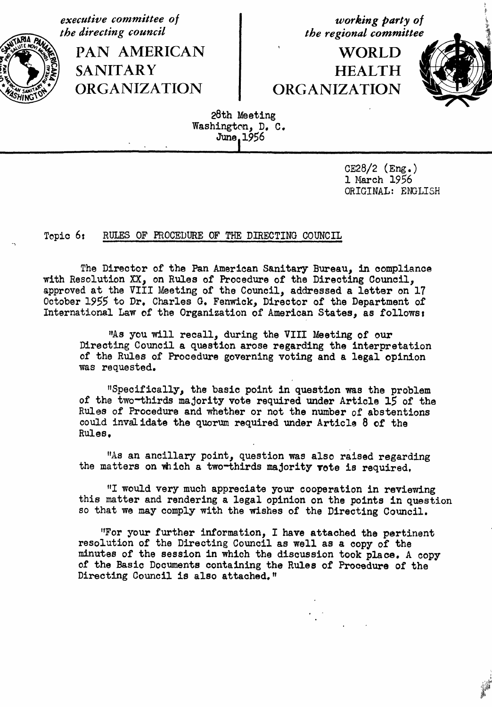executive committee of<br>
the directing council<br>
the regional committee



SANITARY **HEALTH** 

**the regional committee** 

\_**/**\_?i\_--\_*+*\_**.**\_PAN AMERICAN \_ WORLD -*%*\_*,* ORGANIZATION ORGANIZATION



?

28th Meeting Washington, D. C. June 1**9**56

*I Illl Il* \_ *I II Il Illll*

cE28**/**2(E\_*.*) 1 March 1956 ORIGINAL: ENGLISH

## Topic 6: RULES OF PROCEDURE OF THE DIRECTING COUNCIL

The Director of the Pan American Sanitary Bureau, in compliance with Resolution XX, on Rules of Procedure of the Directing Council, approved at the VIII Meeting of the Council, addressed a letter on 17 October 1**9**55 to Dr. Charles G. Fenwick, Director of the Department of International Law of the Organization of American States, as follows:

"As you will recall, during the VIII Meeting of our Directing Council a question arose regarding the interpretation of the Rules of Procedure governing voting and a legal opinion was requested.

"Specifically, the basic point in question was the problem of the two-thirds majority vote required under Article 15 of the Rules of Procedure and whether or not the number of abstentions could invalidate the quorum required under Article 8 of the Rules.

"As an ancillary point, question was also raised regarding the matters on which a two-thirds majority vote is required.

"I would very much appreciate your cooperation in reviewing this matter and rendering a legal opinion on the points in question so that we may comply with the wishes of the Directing Council.

"For your further information, I have attached the pertinent resolution of the Directing Council as well as a copy of the minutes of the session in which the discussion took place. A copy of the Basic Documents containing the Rules of Procedure of the Directing Council is also attached."